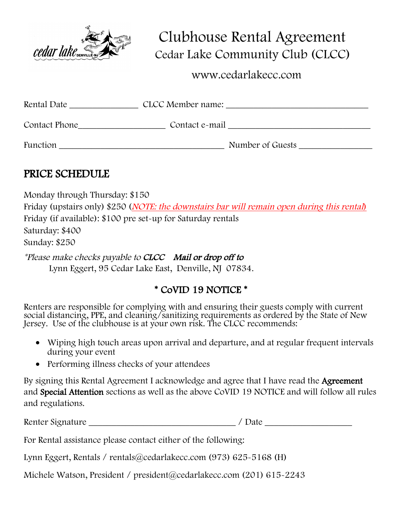

 Clubhouse Rental Agreement Cedar Lake Community Club (CLCC)

www.cedarlakecc.com

| Rental Date     | CLCC Member name: |
|-----------------|-------------------|
| Contact Phone   | Contact e-mail    |
| <b>Function</b> | Number of Guests  |

### PRICE SCHEDULE

Monday through Thursday: \$150 Friday (upstairs only) \$250 (*NOTE: the downstairs bar will remain open during this rental*) Friday (if available): \$100 pre set-up for Saturday rentals Saturday: \$400 Sunday: \$250

\*Please make checks payable to CLCC Mail or drop off to Lynn Eggert, 95 Cedar Lake East, Denville, NJ 07834.

## \* CoVID 19 NOTICE \*

Renters are responsible for complying with and ensuring their guests comply with current social distancing, PPE, and cleaning/sanitizing requirements as ordered by the State of New Jersey. Use of the clubhouse is at your own risk. The CLCC recommends:

- Wiping high touch areas upon arrival and departure, and at regular frequent intervals during your event
- Performing illness checks of your attendees

By signing this Rental Agreement I acknowledge and agree that I have read the Agreement and Special Attention sections as well as the above CoVID 19 NOTICE and will follow all rules and regulations.

Renter Signature \_\_\_\_\_\_\_\_\_\_\_\_\_\_\_\_\_\_\_\_\_\_\_\_\_\_\_\_\_\_\_\_ / Date \_\_\_\_\_\_\_\_\_\_\_\_\_\_\_\_\_\_\_

For Rental assistance please contact either of the following:

Lynn Eggert, Rentals / rentals@cedarlakecc.com (973) 625-5168 (H)

Michele Watson, President / president@cedarlakecc.com (201) 615-2243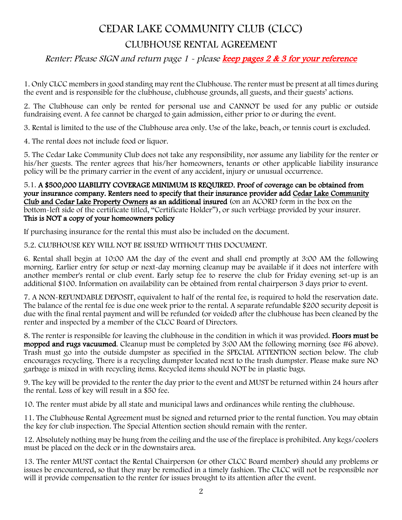### CEDAR LAKE COMMUNITY CLUB (CLCC)

### CLUBHOUSE RENTAL AGREEMENT

### Renter: Please SIGN and return page 1 - please keep pages 2 & 3 for your reference

1. Only CLCC members in good standing may rent the Clubhouse. The renter must be present at all times during the event and is responsible for the clubhouse, clubhouse grounds, all guests, and their guests' actions.

2. The Clubhouse can only be rented for personal use and CANNOT be used for any public or outside fundraising event. A fee cannot be charged to gain admission, either prior to or during the event.

3. Rental is limited to the use of the Clubhouse area only. Use of the lake, beach, or tennis court is excluded.

4. The rental does not include food or liquor.

5. The Cedar Lake Community Club does not take any responsibility, nor assume any liability for the renter or his/her guests. The renter agrees that his/her homeowners, tenants or other applicable liability insurance policy will be the primary carrier in the event of any accident, injury or unusual occurrence.

#### 5.1. A \$500,000 LIABILITY COVERAGE MINIMUM IS REQUIRED. Proof of coverage can be obtained from your insurance company. Renters need to specify that their insurance provider add Cedar Lake Community Club and Cedar Lake Property Owners as an additional insured (on an ACORD form in the box on the bottom-left side of the certificate titled, "Certificate Holder"), or such verbiage provided by your insurer. This is NOT a copy of your homeowners policy

If purchasing insurance for the rental this must also be included on the document.

#### 5.2. CLUBHOUSE KEY WILL NOT BE ISSUED WITHOUT THIS DOCUMENT.

6. Rental shall begin at 10:00 AM the day of the event and shall end promptly at 3:00 AM the following morning. Earlier entry for setup or next-day morning cleanup may be available if it does not interfere with another member's rental or club event. Early setup fee to reserve the club for Friday evening set-up is an additional \$100. Information on availability can be obtained from rental chairperson 3 days prior to event.

7. A NON-REFUNDABLE DEPOSIT, equivalent to half of the rental fee, is required to hold the reservation date. The balance of the rental fee is due one week prior to the rental. A separate refundable \$200 security deposit is due with the final rental payment and will be refunded (or voided) after the clubhouse has been cleaned by the renter and inspected by a member of the CLCC Board of Directors.

8. The renter is responsible for leaving the clubhouse in the condition in which it was provided. Floors must be mopped and rugs vacuumed. Cleanup must be completed by 3:00 AM the following morning (see #6 above). Trash must go into the outside dumpster as specified in the SPECIAL ATTENTION section below. The club encourages recycling. There is a recycling dumpster located next to the trash dumpster. Please make sure NO garbage is mixed in with recycling items. Recycled items should NOT be in plastic bags.

9. The key will be provided to the renter the day prior to the event and MUST be returned within 24 hours after the rental. Loss of key will result in a \$50 fee.

10. The renter must abide by all state and municipal laws and ordinances while renting the clubhouse.

11. The Clubhouse Rental Agreement must be signed and returned prior to the rental function. You may obtain the key for club inspection. The Special Attention section should remain with the renter.

12. Absolutely nothing may be hung from the ceiling and the use of the fireplace is prohibited. Any kegs/coolers must be placed on the deck or in the downstairs area.

13. The renter MUST contact the Rental Chairperson (or other CLCC Board member) should any problems or issues be encountered, so that they may be remedied in a timely fashion. The CLCC will not be responsible nor will it provide compensation to the renter for issues brought to its attention after the event.